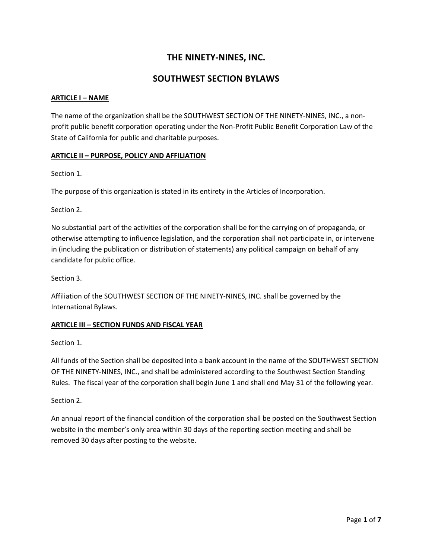# **THE NINETY-NINES, INC.**

# **SOUTHWEST SECTION BYLAWS**

#### **ARTICLE I – NAME**

The name of the organization shall be the SOUTHWEST SECTION OF THE NINETY-NINES, INC., a nonprofit public benefit corporation operating under the Non-Profit Public Benefit Corporation Law of the State of California for public and charitable purposes.

#### **ARTICLE II – PURPOSE, POLICY AND AFFILIATION**

Section 1.

The purpose of this organization is stated in its entirety in the Articles of Incorporation.

Section 2.

No substantial part of the activities of the corporation shall be for the carrying on of propaganda, or otherwise attempting to influence legislation, and the corporation shall not participate in, or intervene in (including the publication or distribution of statements) any political campaign on behalf of any candidate for public office.

Section 3.

Affiliation of the SOUTHWEST SECTION OF THE NINETY-NINES, INC. shall be governed by the International Bylaws.

### **ARTICLE III – SECTION FUNDS AND FISCAL YEAR**

Section 1.

All funds of the Section shall be deposited into a bank account in the name of the SOUTHWEST SECTION OF THE NINETY-NINES, INC., and shall be administered according to the Southwest Section Standing Rules. The fiscal year of the corporation shall begin June 1 and shall end May 31 of the following year.

Section 2.

An annual report of the financial condition of the corporation shall be posted on the Southwest Section website in the member's only area within 30 days of the reporting section meeting and shall be removed 30 days after posting to the website.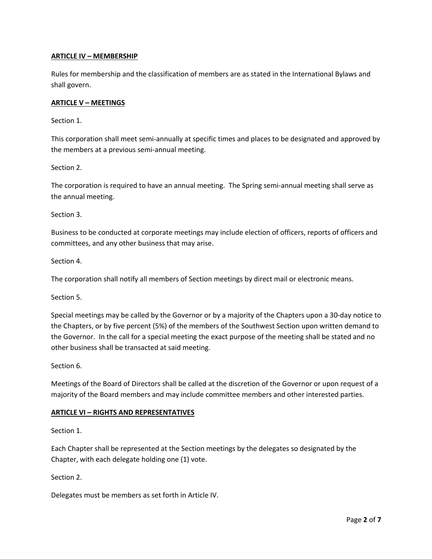# **ARTICLE IV – MEMBERSHIP**

Rules for membership and the classification of members are as stated in the International Bylaws and shall govern.

### **ARTICLE V – MEETINGS**

Section 1.

This corporation shall meet semi-annually at specific times and places to be designated and approved by the members at a previous semi-annual meeting.

Section 2.

The corporation is required to have an annual meeting. The Spring semi-annual meeting shall serve as the annual meeting.

Section 3.

Business to be conducted at corporate meetings may include election of officers, reports of officers and committees, and any other business that may arise.

Section 4.

The corporation shall notify all members of Section meetings by direct mail or electronic means.

Section 5.

Special meetings may be called by the Governor or by a majority of the Chapters upon a 30-day notice to the Chapters, or by five percent (5%) of the members of the Southwest Section upon written demand to the Governor. In the call for a special meeting the exact purpose of the meeting shall be stated and no other business shall be transacted at said meeting.

Section 6.

Meetings of the Board of Directors shall be called at the discretion of the Governor or upon request of a majority of the Board members and may include committee members and other interested parties.

#### **ARTICLE VI – RIGHTS AND REPRESENTATIVES**

Section 1.

Each Chapter shall be represented at the Section meetings by the delegates so designated by the Chapter, with each delegate holding one (1) vote.

Section 2.

Delegates must be members as set forth in Article IV.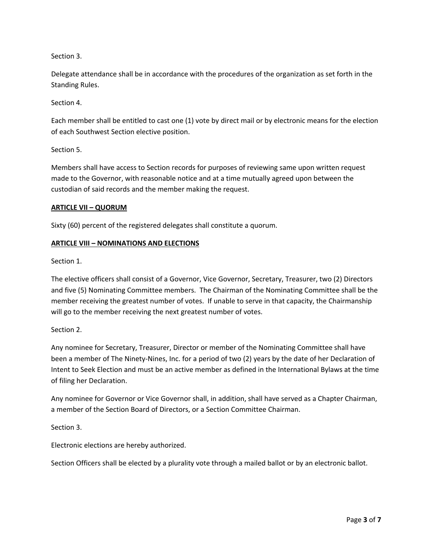# Section 3.

Delegate attendance shall be in accordance with the procedures of the organization as set forth in the Standing Rules.

Section 4.

Each member shall be entitled to cast one (1) vote by direct mail or by electronic means for the election of each Southwest Section elective position.

### Section 5.

Members shall have access to Section records for purposes of reviewing same upon written request made to the Governor, with reasonable notice and at a time mutually agreed upon between the custodian of said records and the member making the request.

### **ARTICLE VII – QUORUM**

Sixty (60) percent of the registered delegates shall constitute a quorum.

### **ARTICLE VIII – NOMINATIONS AND ELECTIONS**

Section 1.

The elective officers shall consist of a Governor, Vice Governor, Secretary, Treasurer, two (2) Directors and five (5) Nominating Committee members. The Chairman of the Nominating Committee shall be the member receiving the greatest number of votes. If unable to serve in that capacity, the Chairmanship will go to the member receiving the next greatest number of votes.

### Section 2.

Any nominee for Secretary, Treasurer, Director or member of the Nominating Committee shall have been a member of The Ninety-Nines, Inc. for a period of two (2) years by the date of her Declaration of Intent to Seek Election and must be an active member as defined in the International Bylaws at the time of filing her Declaration.

Any nominee for Governor or Vice Governor shall, in addition, shall have served as a Chapter Chairman, a member of the Section Board of Directors, or a Section Committee Chairman.

Section 3.

Electronic elections are hereby authorized.

Section Officers shall be elected by a plurality vote through a mailed ballot or by an electronic ballot.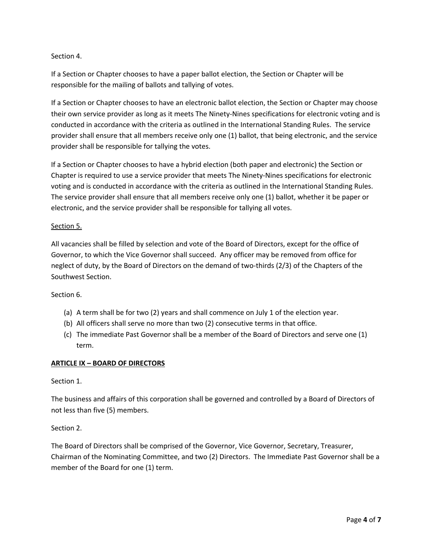# Section 4.

If a Section or Chapter chooses to have a paper ballot election, the Section or Chapter will be responsible for the mailing of ballots and tallying of votes.

If a Section or Chapter chooses to have an electronic ballot election, the Section or Chapter may choose their own service provider as long as it meets The Ninety-Nines specifications for electronic voting and is conducted in accordance with the criteria as outlined in the International Standing Rules. The service provider shall ensure that all members receive only one (1) ballot, that being electronic, and the service provider shall be responsible for tallying the votes.

If a Section or Chapter chooses to have a hybrid election (both paper and electronic) the Section or Chapter is required to use a service provider that meets The Ninety-Nines specifications for electronic voting and is conducted in accordance with the criteria as outlined in the International Standing Rules. The service provider shall ensure that all members receive only one (1) ballot, whether it be paper or electronic, and the service provider shall be responsible for tallying all votes.

### Section 5.

All vacancies shall be filled by selection and vote of the Board of Directors, except for the office of Governor, to which the Vice Governor shall succeed. Any officer may be removed from office for neglect of duty, by the Board of Directors on the demand of two-thirds (2/3) of the Chapters of the Southwest Section.

#### Section 6.

- (a) A term shall be for two (2) years and shall commence on July 1 of the election year.
- (b) All officers shall serve no more than two (2) consecutive terms in that office.
- (c) The immediate Past Governor shall be a member of the Board of Directors and serve one (1) term.

#### **ARTICLE IX – BOARD OF DIRECTORS**

### Section 1.

The business and affairs of this corporation shall be governed and controlled by a Board of Directors of not less than five (5) members.

### Section 2.

The Board of Directors shall be comprised of the Governor, Vice Governor, Secretary, Treasurer, Chairman of the Nominating Committee, and two (2) Directors. The Immediate Past Governor shall be a member of the Board for one (1) term.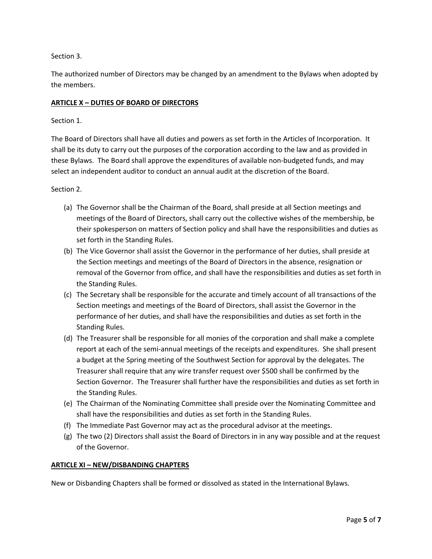# Section 3.

The authorized number of Directors may be changed by an amendment to the Bylaws when adopted by the members.

# **ARTICLE X – DUTIES OF BOARD OF DIRECTORS**

### Section 1.

The Board of Directors shall have all duties and powers as set forth in the Articles of Incorporation. It shall be its duty to carry out the purposes of the corporation according to the law and as provided in these Bylaws. The Board shall approve the expenditures of available non-budgeted funds, and may select an independent auditor to conduct an annual audit at the discretion of the Board.

### Section 2.

- (a) The Governor shall be the Chairman of the Board, shall preside at all Section meetings and meetings of the Board of Directors, shall carry out the collective wishes of the membership, be their spokesperson on matters of Section policy and shall have the responsibilities and duties as set forth in the Standing Rules.
- (b) The Vice Governor shall assist the Governor in the performance of her duties, shall preside at the Section meetings and meetings of the Board of Directors in the absence, resignation or removal of the Governor from office, and shall have the responsibilities and duties as set forth in the Standing Rules.
- (c) The Secretary shall be responsible for the accurate and timely account of all transactions of the Section meetings and meetings of the Board of Directors, shall assist the Governor in the performance of her duties, and shall have the responsibilities and duties as set forth in the Standing Rules.
- (d) The Treasurer shall be responsible for all monies of the corporation and shall make a complete report at each of the semi-annual meetings of the receipts and expenditures. She shall present a budget at the Spring meeting of the Southwest Section for approval by the delegates. The Treasurer shall require that any wire transfer request over \$500 shall be confirmed by the Section Governor. The Treasurer shall further have the responsibilities and duties as set forth in the Standing Rules.
- (e) The Chairman of the Nominating Committee shall preside over the Nominating Committee and shall have the responsibilities and duties as set forth in the Standing Rules.
- (f) The Immediate Past Governor may act as the procedural advisor at the meetings.
- (g) The two (2) Directors shall assist the Board of Directors in in any way possible and at the request of the Governor.

### **ARTICLE XI – NEW/DISBANDING CHAPTERS**

New or Disbanding Chapters shall be formed or dissolved as stated in the International Bylaws.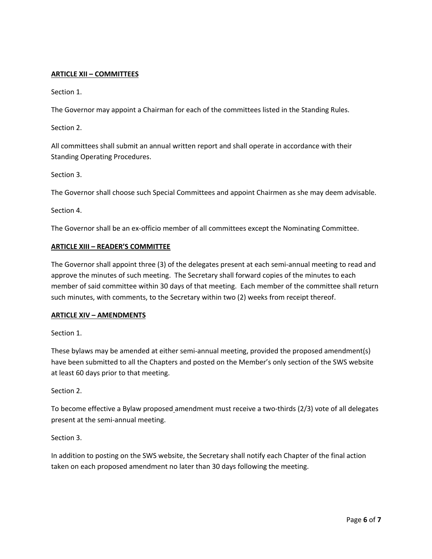### **ARTICLE XII – COMMITTEES**

Section 1.

The Governor may appoint a Chairman for each of the committees listed in the Standing Rules.

Section 2.

All committees shall submit an annual written report and shall operate in accordance with their Standing Operating Procedures.

Section 3.

The Governor shall choose such Special Committees and appoint Chairmen as she may deem advisable.

Section 4.

The Governor shall be an ex-officio member of all committees except the Nominating Committee.

### **ARTICLE XIII – READER'S COMMITTEE**

The Governor shall appoint three (3) of the delegates present at each semi-annual meeting to read and approve the minutes of such meeting. The Secretary shall forward copies of the minutes to each member of said committee within 30 days of that meeting. Each member of the committee shall return such minutes, with comments, to the Secretary within two (2) weeks from receipt thereof.

#### **ARTICLE XIV – AMENDMENTS**

Section 1.

These bylaws may be amended at either semi-annual meeting, provided the proposed amendment(s) have been submitted to all the Chapters and posted on the Member's only section of the SWS website at least 60 days prior to that meeting.

Section 2.

To become effective a Bylaw proposed amendment must receive a two-thirds (2/3) vote of all delegates present at the semi-annual meeting.

Section 3.

In addition to posting on the SWS website, the Secretary shall notify each Chapter of the final action taken on each proposed amendment no later than 30 days following the meeting.